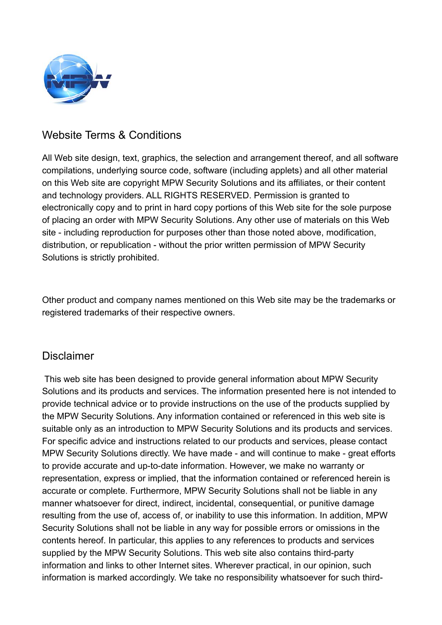

## Website Terms & Conditions

All Web site design, text, graphics, the selection and arrangement thereof, and all software compilations, underlying source code, software (including applets) and all other material on this Web site are copyright MPW Security Solutions and its affiliates, or their content and technology providers. ALL RIGHTS RESERVED. Permission is granted to electronically copy and to print in hard copy portions of this Web site for the sole purpose of placing an order with MPW Security Solutions. Any other use of materials on this Web site - including reproduction for purposes other than those noted above, modification, distribution, or republication - without the prior written permission of MPW Security Solutions is strictly prohibited.

Other product and company names mentioned on this Web site may be the trademarks or registered trademarks of their respective owners.

## Disclaimer

 This web site has been designed to provide general information about MPW Security Solutions and its products and services. The information presented here is not intended to provide technical advice or to provide instructions on the use of the products supplied by the MPW Security Solutions. Any information contained or referenced in this web site is suitable only as an introduction to MPW Security Solutions and its products and services. For specific advice and instructions related to our products and services, please contact MPW Security Solutions directly. We have made - and will continue to make - great efforts to provide accurate and up-to-date information. However, we make no warranty or representation, express or implied, that the information contained or referenced herein is accurate or complete. Furthermore, MPW Security Solutions shall not be liable in any manner whatsoever for direct, indirect, incidental, consequential, or punitive damage resulting from the use of, access of, or inability to use this information. In addition, MPW Security Solutions shall not be liable in any way for possible errors or omissions in the contents hereof. In particular, this applies to any references to products and services supplied by the MPW Security Solutions. This web site also contains third-party information and links to other Internet sites. Wherever practical, in our opinion, such information is marked accordingly. We take no responsibility whatsoever for such third-